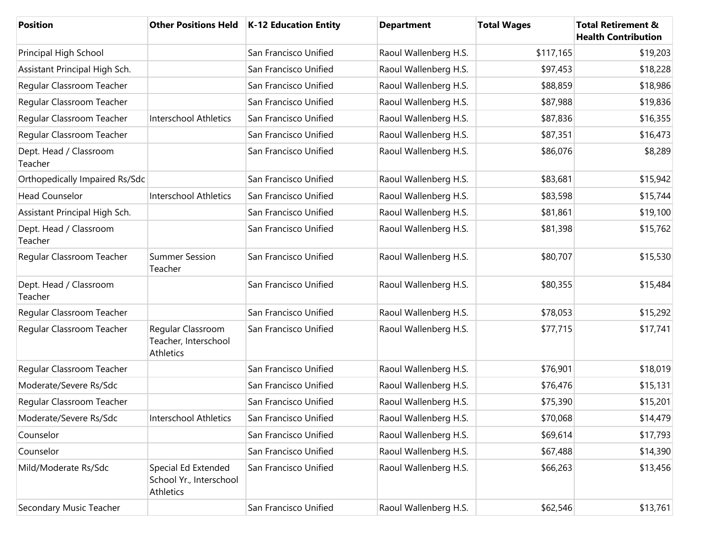| <b>Position</b>                   |                                                             | Other Positions Held   K-12 Education Entity | <b>Department</b>     | <b>Total Wages</b> | <b>Total Retirement &amp;</b><br><b>Health Contribution</b> |
|-----------------------------------|-------------------------------------------------------------|----------------------------------------------|-----------------------|--------------------|-------------------------------------------------------------|
| Principal High School             |                                                             | San Francisco Unified                        | Raoul Wallenberg H.S. | \$117,165          | \$19,203                                                    |
| Assistant Principal High Sch.     |                                                             | San Francisco Unified                        | Raoul Wallenberg H.S. | \$97,453           | \$18,228                                                    |
| Regular Classroom Teacher         |                                                             | San Francisco Unified                        | Raoul Wallenberg H.S. | \$88,859           | \$18,986                                                    |
| Regular Classroom Teacher         |                                                             | San Francisco Unified                        | Raoul Wallenberg H.S. | \$87,988           | \$19,836                                                    |
| Regular Classroom Teacher         | Interschool Athletics                                       | San Francisco Unified                        | Raoul Wallenberg H.S. | \$87,836           | \$16,355                                                    |
| Regular Classroom Teacher         |                                                             | San Francisco Unified                        | Raoul Wallenberg H.S. | \$87,351           | \$16,473                                                    |
| Dept. Head / Classroom<br>Teacher |                                                             | San Francisco Unified                        | Raoul Wallenberg H.S. | \$86,076           | \$8,289                                                     |
| Orthopedically Impaired Rs/Sdc    |                                                             | San Francisco Unified                        | Raoul Wallenberg H.S. | \$83,681           | \$15,942                                                    |
| <b>Head Counselor</b>             | <b>Interschool Athletics</b>                                | San Francisco Unified                        | Raoul Wallenberg H.S. | \$83,598           | \$15,744                                                    |
| Assistant Principal High Sch.     |                                                             | San Francisco Unified                        | Raoul Wallenberg H.S. | \$81,861           | \$19,100                                                    |
| Dept. Head / Classroom<br>Teacher |                                                             | San Francisco Unified                        | Raoul Wallenberg H.S. | \$81,398           | \$15,762                                                    |
| Regular Classroom Teacher         | <b>Summer Session</b><br>Teacher                            | San Francisco Unified                        | Raoul Wallenberg H.S. | \$80,707           | \$15,530                                                    |
| Dept. Head / Classroom<br>Teacher |                                                             | San Francisco Unified                        | Raoul Wallenberg H.S. | \$80,355           | \$15,484                                                    |
| Regular Classroom Teacher         |                                                             | San Francisco Unified                        | Raoul Wallenberg H.S. | \$78,053           | \$15,292                                                    |
| Regular Classroom Teacher         | Regular Classroom<br>Teacher, Interschool<br>Athletics      | San Francisco Unified                        | Raoul Wallenberg H.S. | \$77,715           | \$17,741                                                    |
| Regular Classroom Teacher         |                                                             | San Francisco Unified                        | Raoul Wallenberg H.S. | \$76,901           | \$18,019                                                    |
| Moderate/Severe Rs/Sdc            |                                                             | San Francisco Unified                        | Raoul Wallenberg H.S. | \$76,476           | \$15,131                                                    |
| Regular Classroom Teacher         |                                                             | San Francisco Unified                        | Raoul Wallenberg H.S. | \$75,390           | \$15,201                                                    |
| Moderate/Severe Rs/Sdc            | <b>Interschool Athletics</b>                                | San Francisco Unified                        | Raoul Wallenberg H.S. | \$70,068           | \$14,479                                                    |
| Counselor                         |                                                             | San Francisco Unified                        | Raoul Wallenberg H.S. | \$69,614           | \$17,793                                                    |
| Counselor                         |                                                             | San Francisco Unified                        | Raoul Wallenberg H.S. | \$67,488           | \$14,390                                                    |
| Mild/Moderate Rs/Sdc              | Special Ed Extended<br>School Yr., Interschool<br>Athletics | San Francisco Unified                        | Raoul Wallenberg H.S. | \$66,263           | \$13,456                                                    |
| Secondary Music Teacher           |                                                             | San Francisco Unified                        | Raoul Wallenberg H.S. | \$62,546           | \$13,761                                                    |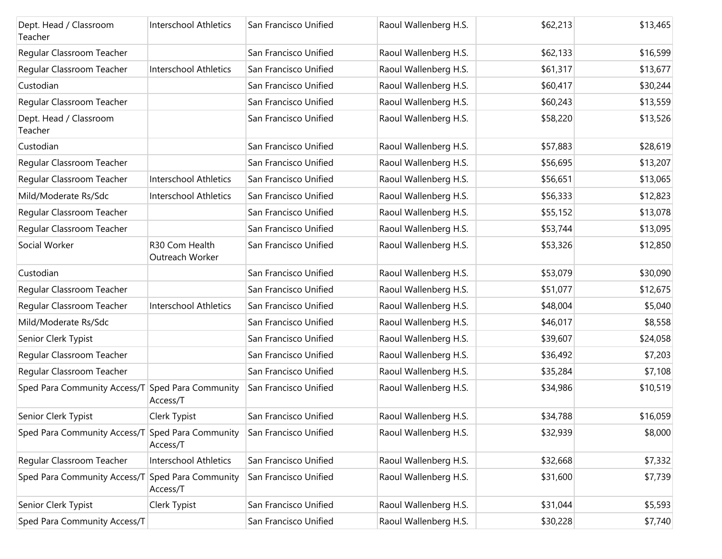| Dept. Head / Classroom<br>Teacher                | Interschool Athletics             | San Francisco Unified | Raoul Wallenberg H.S. | \$62,213 | \$13,465 |
|--------------------------------------------------|-----------------------------------|-----------------------|-----------------------|----------|----------|
| Regular Classroom Teacher                        |                                   | San Francisco Unified | Raoul Wallenberg H.S. | \$62,133 | \$16,599 |
| Regular Classroom Teacher                        | Interschool Athletics             | San Francisco Unified | Raoul Wallenberg H.S. | \$61,317 | \$13,677 |
| Custodian                                        |                                   | San Francisco Unified | Raoul Wallenberg H.S. | \$60,417 | \$30,244 |
| Regular Classroom Teacher                        |                                   | San Francisco Unified | Raoul Wallenberg H.S. | \$60,243 | \$13,559 |
| Dept. Head / Classroom<br>Teacher                |                                   | San Francisco Unified | Raoul Wallenberg H.S. | \$58,220 | \$13,526 |
| Custodian                                        |                                   | San Francisco Unified | Raoul Wallenberg H.S. | \$57,883 | \$28,619 |
| Regular Classroom Teacher                        |                                   | San Francisco Unified | Raoul Wallenberg H.S. | \$56,695 | \$13,207 |
| Regular Classroom Teacher                        | <b>Interschool Athletics</b>      | San Francisco Unified | Raoul Wallenberg H.S. | \$56,651 | \$13,065 |
| Mild/Moderate Rs/Sdc                             | Interschool Athletics             | San Francisco Unified | Raoul Wallenberg H.S. | \$56,333 | \$12,823 |
| Regular Classroom Teacher                        |                                   | San Francisco Unified | Raoul Wallenberg H.S. | \$55,152 | \$13,078 |
| Regular Classroom Teacher                        |                                   | San Francisco Unified | Raoul Wallenberg H.S. | \$53,744 | \$13,095 |
| Social Worker                                    | R30 Com Health<br>Outreach Worker | San Francisco Unified | Raoul Wallenberg H.S. | \$53,326 | \$12,850 |
| Custodian                                        |                                   | San Francisco Unified | Raoul Wallenberg H.S. | \$53,079 | \$30,090 |
| Regular Classroom Teacher                        |                                   | San Francisco Unified | Raoul Wallenberg H.S. | \$51,077 | \$12,675 |
| Regular Classroom Teacher                        | Interschool Athletics             | San Francisco Unified | Raoul Wallenberg H.S. | \$48,004 | \$5,040  |
| Mild/Moderate Rs/Sdc                             |                                   | San Francisco Unified | Raoul Wallenberg H.S. | \$46,017 | \$8,558  |
| Senior Clerk Typist                              |                                   | San Francisco Unified | Raoul Wallenberg H.S. | \$39,607 | \$24,058 |
| Regular Classroom Teacher                        |                                   | San Francisco Unified | Raoul Wallenberg H.S. | \$36,492 | \$7,203  |
| Regular Classroom Teacher                        |                                   | San Francisco Unified | Raoul Wallenberg H.S. | \$35,284 | \$7,108  |
| Sped Para Community Access/T Sped Para Community | Access/T                          | San Francisco Unified | Raoul Wallenberg H.S. | \$34,986 | \$10,519 |
| Senior Clerk Typist                              | Clerk Typist                      | San Francisco Unified | Raoul Wallenberg H.S. | \$34,788 | \$16,059 |
| Sped Para Community Access/T Sped Para Community | Access/T                          | San Francisco Unified | Raoul Wallenberg H.S. | \$32,939 | \$8,000  |
| Regular Classroom Teacher                        | <b>Interschool Athletics</b>      | San Francisco Unified | Raoul Wallenberg H.S. | \$32,668 | \$7,332  |
| Sped Para Community Access/T                     | Sped Para Community<br>Access/T   | San Francisco Unified | Raoul Wallenberg H.S. | \$31,600 | \$7,739  |
| Senior Clerk Typist                              | Clerk Typist                      | San Francisco Unified | Raoul Wallenberg H.S. | \$31,044 | \$5,593  |
| Sped Para Community Access/T                     |                                   | San Francisco Unified | Raoul Wallenberg H.S. | \$30,228 | \$7,740  |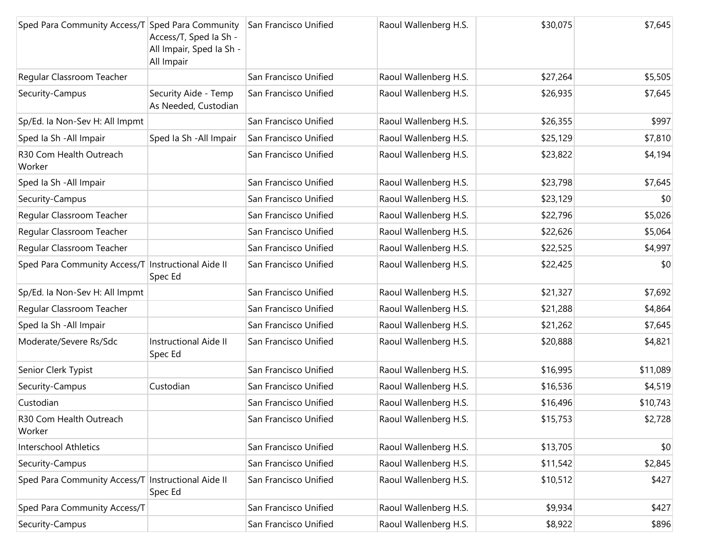| Sped Para Community Access/T Sped Para Community San Francisco Unified | Access/T, Sped la Sh -<br>All Impair, Sped Ia Sh -<br>All Impair |                       | Raoul Wallenberg H.S. | \$30,075 | \$7,645  |
|------------------------------------------------------------------------|------------------------------------------------------------------|-----------------------|-----------------------|----------|----------|
| Regular Classroom Teacher                                              |                                                                  | San Francisco Unified | Raoul Wallenberg H.S. | \$27,264 | \$5,505  |
| Security-Campus                                                        | Security Aide - Temp<br>As Needed, Custodian                     | San Francisco Unified | Raoul Wallenberg H.S. | \$26,935 | \$7,645  |
| Sp/Ed. la Non-Sev H: All Impmt                                         |                                                                  | San Francisco Unified | Raoul Wallenberg H.S. | \$26,355 | \$997    |
| Sped Ia Sh - All Impair                                                | Sped Ia Sh - All Impair                                          | San Francisco Unified | Raoul Wallenberg H.S. | \$25,129 | \$7,810  |
| R30 Com Health Outreach<br>Worker                                      |                                                                  | San Francisco Unified | Raoul Wallenberg H.S. | \$23,822 | \$4,194  |
| Sped Ia Sh - All Impair                                                |                                                                  | San Francisco Unified | Raoul Wallenberg H.S. | \$23,798 | \$7,645  |
| Security-Campus                                                        |                                                                  | San Francisco Unified | Raoul Wallenberg H.S. | \$23,129 | \$0      |
| Regular Classroom Teacher                                              |                                                                  | San Francisco Unified | Raoul Wallenberg H.S. | \$22,796 | \$5,026  |
| Regular Classroom Teacher                                              |                                                                  | San Francisco Unified | Raoul Wallenberg H.S. | \$22,626 | \$5,064  |
| Regular Classroom Teacher                                              |                                                                  | San Francisco Unified | Raoul Wallenberg H.S. | \$22,525 | \$4,997  |
| Sped Para Community Access/T Instructional Aide II                     | Spec Ed                                                          | San Francisco Unified | Raoul Wallenberg H.S. | \$22,425 | \$0      |
| Sp/Ed. la Non-Sev H: All Impmt                                         |                                                                  | San Francisco Unified | Raoul Wallenberg H.S. | \$21,327 | \$7,692  |
| Regular Classroom Teacher                                              |                                                                  | San Francisco Unified | Raoul Wallenberg H.S. | \$21,288 | \$4,864  |
| Sped Ia Sh - All Impair                                                |                                                                  | San Francisco Unified | Raoul Wallenberg H.S. | \$21,262 | \$7,645  |
| Moderate/Severe Rs/Sdc                                                 | Instructional Aide II<br>Spec Ed                                 | San Francisco Unified | Raoul Wallenberg H.S. | \$20,888 | \$4,821  |
| Senior Clerk Typist                                                    |                                                                  | San Francisco Unified | Raoul Wallenberg H.S. | \$16,995 | \$11,089 |
| Security-Campus                                                        | Custodian                                                        | San Francisco Unified | Raoul Wallenberg H.S. | \$16,536 | \$4,519  |
| Custodian                                                              |                                                                  | San Francisco Unified | Raoul Wallenberg H.S. | \$16,496 | \$10,743 |
| R30 Com Health Outreach<br>Worker                                      |                                                                  | San Francisco Unified | Raoul Wallenberg H.S. | \$15,753 | \$2,728  |
| <b>Interschool Athletics</b>                                           |                                                                  | San Francisco Unified | Raoul Wallenberg H.S. | \$13,705 | \$0      |
| Security-Campus                                                        |                                                                  | San Francisco Unified | Raoul Wallenberg H.S. | \$11,542 | \$2,845  |
| Sped Para Community Access/T Instructional Aide II                     | Spec Ed                                                          | San Francisco Unified | Raoul Wallenberg H.S. | \$10,512 | \$427    |
| Sped Para Community Access/T                                           |                                                                  | San Francisco Unified | Raoul Wallenberg H.S. | \$9,934  | \$427    |
| Security-Campus                                                        |                                                                  | San Francisco Unified | Raoul Wallenberg H.S. | \$8,922  | \$896    |